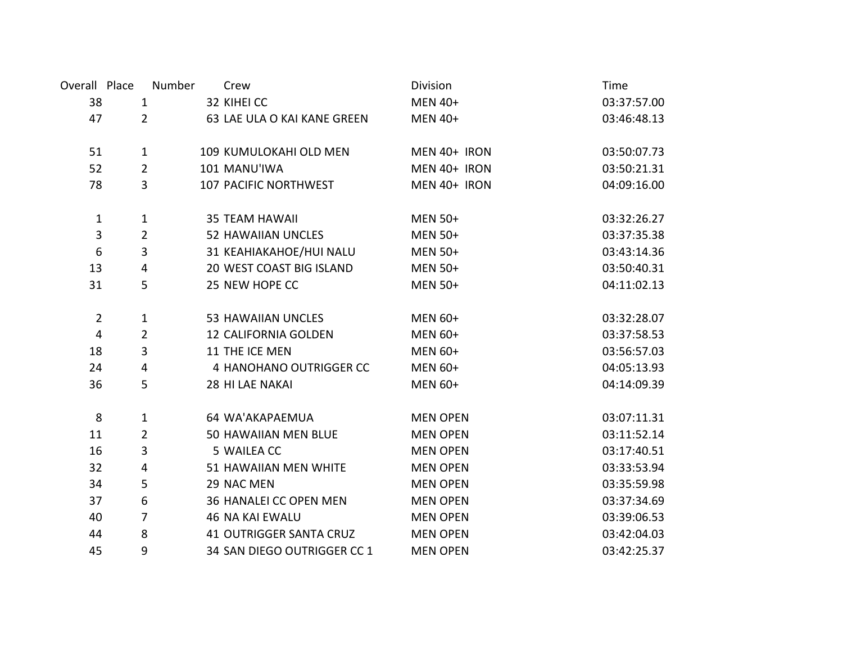| Overall Place    |                | Number | Crew                           | Division        | Time        |
|------------------|----------------|--------|--------------------------------|-----------------|-------------|
| 38               | $\mathbf{1}$   |        | 32 KIHEI CC                    | <b>MEN 40+</b>  | 03:37:57.00 |
| 47               | $\overline{2}$ |        | 63 LAE ULA O KAI KANE GREEN    | <b>MEN 40+</b>  | 03:46:48.13 |
|                  |                |        |                                |                 |             |
| 51               | $\mathbf{1}$   |        | 109 KUMULOKAHI OLD MEN         | MEN 40+ IRON    | 03:50:07.73 |
| 52               | $\overline{2}$ |        | 101 MANU'IWA                   | MEN 40+ IRON    | 03:50:21.31 |
| 78               | 3              |        | 107 PACIFIC NORTHWEST          | MEN 40+ IRON    | 04:09:16.00 |
|                  |                |        |                                |                 |             |
| $\mathbf{1}$     | $\mathbf{1}$   |        | <b>35 TEAM HAWAII</b>          | <b>MEN 50+</b>  | 03:32:26.27 |
| 3                | $\overline{2}$ |        | <b>52 HAWAIIAN UNCLES</b>      | <b>MEN 50+</b>  | 03:37:35.38 |
| $\boldsymbol{6}$ | 3              |        | 31 KEAHIAKAHOE/HUI NALU        | <b>MEN 50+</b>  | 03:43:14.36 |
| 13               | 4              |        | 20 WEST COAST BIG ISLAND       | <b>MEN 50+</b>  | 03:50:40.31 |
| 31               | 5              |        | 25 NEW HOPE CC                 | <b>MEN 50+</b>  | 04:11:02.13 |
| $\overline{2}$   | $\mathbf{1}$   |        | <b>53 HAWAIIAN UNCLES</b>      | <b>MEN 60+</b>  | 03:32:28.07 |
| $\overline{4}$   | $\overline{2}$ |        | 12 CALIFORNIA GOLDEN           | <b>MEN 60+</b>  | 03:37:58.53 |
| 18               | 3              |        | 11 THE ICE MEN                 | <b>MEN 60+</b>  | 03:56:57.03 |
| 24               | 4              |        | 4 HANOHANO OUTRIGGER CC        | <b>MEN 60+</b>  | 04:05:13.93 |
| 36               | 5              |        | 28 HI LAE NAKAI                | <b>MEN 60+</b>  | 04:14:09.39 |
|                  |                |        |                                |                 |             |
| 8                | $\mathbf{1}$   |        | 64 WA'AKAPAEMUA                | <b>MEN OPEN</b> | 03:07:11.31 |
| 11               | $\overline{2}$ |        | 50 HAWAIIAN MEN BLUE           | <b>MEN OPEN</b> | 03:11:52.14 |
| 16               | 3              |        | 5 WAILEA CC                    | <b>MEN OPEN</b> | 03:17:40.51 |
| 32               | 4              |        | 51 HAWAIIAN MEN WHITE          | <b>MEN OPEN</b> | 03:33:53.94 |
| 34               | 5              |        | 29 NAC MEN                     | <b>MEN OPEN</b> | 03:35:59.98 |
| 37               | 6              |        | 36 HANALEI CC OPEN MEN         | <b>MEN OPEN</b> | 03:37:34.69 |
| 40               | $\overline{7}$ |        | <b>46 NA KAI EWALU</b>         | <b>MEN OPEN</b> | 03:39:06.53 |
| 44               | 8              |        | <b>41 OUTRIGGER SANTA CRUZ</b> | <b>MEN OPEN</b> | 03:42:04.03 |
| 45               | 9              |        | 34 SAN DIEGO OUTRIGGER CC 1    | <b>MEN OPEN</b> | 03:42:25.37 |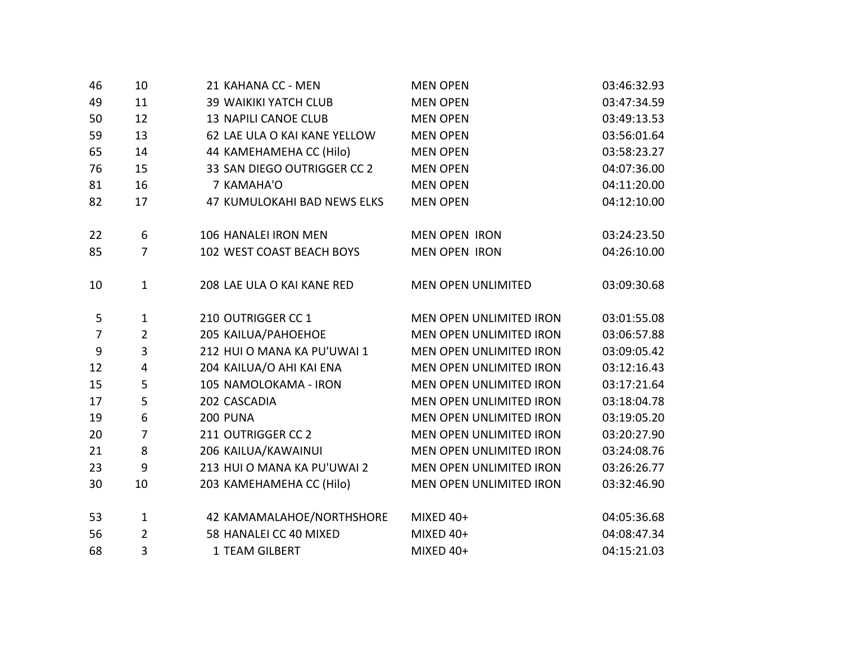| 46             | 10             | 21 KAHANA CC - MEN           | <b>MEN OPEN</b>           | 03:46:32.93 |
|----------------|----------------|------------------------------|---------------------------|-------------|
| 49             | 11             | <b>39 WAIKIKI YATCH CLUB</b> | <b>MEN OPEN</b>           | 03:47:34.59 |
| 50             | 12             | <b>13 NAPILI CANOE CLUB</b>  | <b>MEN OPEN</b>           | 03:49:13.53 |
| 59             | 13             | 62 LAE ULA O KAI KANE YELLOW | <b>MEN OPEN</b>           | 03:56:01.64 |
| 65             | 14             | 44 KAMEHAMEHA CC (Hilo)      | <b>MEN OPEN</b>           | 03:58:23.27 |
| 76             | 15             | 33 SAN DIEGO OUTRIGGER CC 2  | <b>MEN OPEN</b>           | 04:07:36.00 |
| 81             | 16             | 7 KAMAHA'O                   | <b>MEN OPEN</b>           | 04:11:20.00 |
| 82             | 17             | 47 KUMULOKAHI BAD NEWS ELKS  | <b>MEN OPEN</b>           | 04:12:10.00 |
| 22             | 6              | 106 HANALEI IRON MEN         | <b>MEN OPEN IRON</b>      | 03:24:23.50 |
| 85             | $\overline{7}$ | 102 WEST COAST BEACH BOYS    | <b>MEN OPEN IRON</b>      | 04:26:10.00 |
| 10             | $\mathbf{1}$   | 208 LAE ULA O KAI KANE RED   | <b>MEN OPEN UNLIMITED</b> | 03:09:30.68 |
| 5              | $\mathbf{1}$   | 210 OUTRIGGER CC 1           | MEN OPEN UNLIMITED IRON   | 03:01:55.08 |
| $\overline{7}$ | $\overline{2}$ | 205 KAILUA/PAHOEHOE          | MEN OPEN UNLIMITED IRON   | 03:06:57.88 |
| 9              | 3              | 212 HUI O MANA KA PU'UWAI 1  | MEN OPEN UNLIMITED IRON   | 03:09:05.42 |
| 12             | 4              | 204 KAILUA/O AHI KAI ENA     | MEN OPEN UNLIMITED IRON   | 03:12:16.43 |
| 15             | 5              | 105 NAMOLOKAMA - IRON        | MEN OPEN UNLIMITED IRON   | 03:17:21.64 |
| 17             | 5              | 202 CASCADIA                 | MEN OPEN UNLIMITED IRON   | 03:18:04.78 |
| 19             | 6              | <b>200 PUNA</b>              | MEN OPEN UNLIMITED IRON   | 03:19:05.20 |
| 20             | $\overline{7}$ | 211 OUTRIGGER CC 2           | MEN OPEN UNLIMITED IRON   | 03:20:27.90 |
| 21             | 8              | 206 KAILUA/KAWAINUI          | MEN OPEN UNLIMITED IRON   | 03:24:08.76 |
| 23             | 9              | 213 HUI O MANA KA PU'UWAI 2  | MEN OPEN UNLIMITED IRON   | 03:26:26.77 |
| 30             | 10             | 203 KAMEHAMEHA CC (Hilo)     | MEN OPEN UNLIMITED IRON   | 03:32:46.90 |
| 53             | $\mathbf{1}$   | 42 KAMAMALAHOE/NORTHSHORE    | MIXED $40+$               | 04:05:36.68 |
| 56             | $\overline{2}$ | 58 HANALEI CC 40 MIXED       | MIXED 40+                 | 04:08:47.34 |
| 68             | 3              | 1 TEAM GILBERT               | MIXED 40+                 | 04:15:21.03 |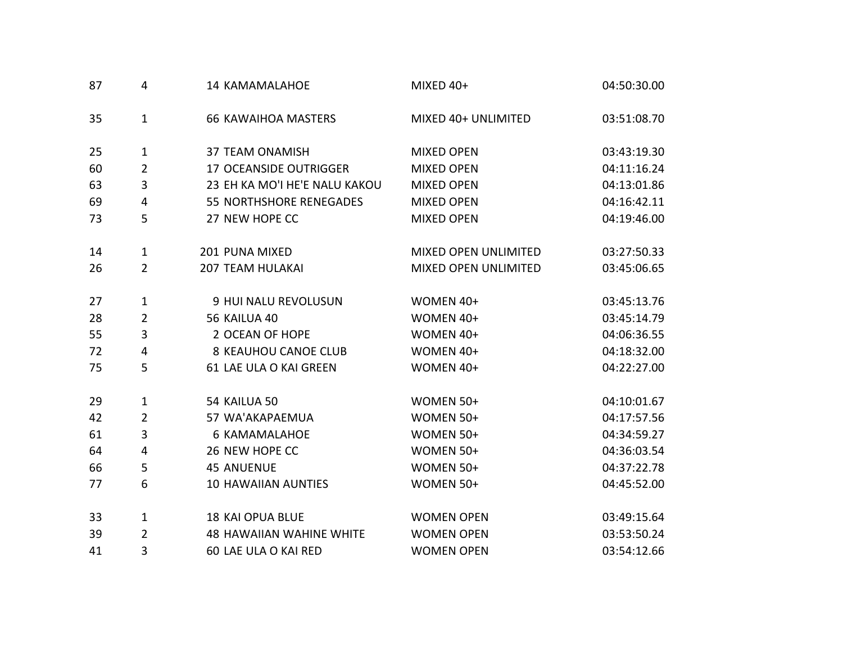| 87 | 4              | 14 KAMAMALAHOE                  | MIXED 40+            | 04:50:30.00 |
|----|----------------|---------------------------------|----------------------|-------------|
| 35 | $\mathbf{1}$   | <b>66 KAWAIHOA MASTERS</b>      | MIXED 40+ UNLIMITED  | 03:51:08.70 |
| 25 | 1              | <b>37 TEAM ONAMISH</b>          | <b>MIXED OPEN</b>    | 03:43:19.30 |
| 60 | $\overline{2}$ | 17 OCEANSIDE OUTRIGGER          | <b>MIXED OPEN</b>    | 04:11:16.24 |
| 63 | 3              | 23 EH KA MO'I HE'E NALU KAKOU   | <b>MIXED OPEN</b>    | 04:13:01.86 |
| 69 | 4              | <b>55 NORTHSHORE RENEGADES</b>  | <b>MIXED OPEN</b>    | 04:16:42.11 |
| 73 | 5              | 27 NEW HOPE CC                  | <b>MIXED OPEN</b>    | 04:19:46.00 |
| 14 | $\mathbf{1}$   | 201 PUNA MIXED                  | MIXED OPEN UNLIMITED | 03:27:50.33 |
| 26 | $\overline{2}$ | <b>207 TEAM HULAKAI</b>         | MIXED OPEN UNLIMITED | 03:45:06.65 |
| 27 | $\mathbf{1}$   | 9 HUI NALU REVOLUSUN            | WOMEN 40+            | 03:45:13.76 |
| 28 | $\overline{2}$ | 56 KAILUA 40                    | WOMEN 40+            | 03:45:14.79 |
| 55 | 3              | 2 OCEAN OF HOPE                 | WOMEN 40+            | 04:06:36.55 |
| 72 | 4              | <b>8 KEAUHOU CANOE CLUB</b>     | WOMEN 40+            | 04:18:32.00 |
| 75 | 5              | 61 LAE ULA O KAI GREEN          | WOMEN 40+            | 04:22:27.00 |
| 29 | 1              | 54 KAILUA 50                    | WOMEN 50+            | 04:10:01.67 |
| 42 | $\overline{2}$ | 57 WA'AKAPAEMUA                 | WOMEN 50+            | 04:17:57.56 |
| 61 | 3              | <b>6 KAMAMALAHOE</b>            | WOMEN 50+            | 04:34:59.27 |
| 64 | 4              | 26 NEW HOPE CC                  | WOMEN 50+            | 04:36:03.54 |
| 66 | 5              | <b>45 ANUENUE</b>               | WOMEN 50+            | 04:37:22.78 |
| 77 | 6              | <b>10 HAWAIIAN AUNTIES</b>      | WOMEN 50+            | 04:45:52.00 |
| 33 | $\mathbf{1}$   | <b>18 KAI OPUA BLUE</b>         | <b>WOMEN OPEN</b>    | 03:49:15.64 |
| 39 | $\overline{2}$ | <b>48 HAWAIIAN WAHINE WHITE</b> | <b>WOMEN OPEN</b>    | 03:53:50.24 |
| 41 | 3              | 60 LAE ULA O KAI RED            | <b>WOMEN OPEN</b>    | 03:54:12.66 |